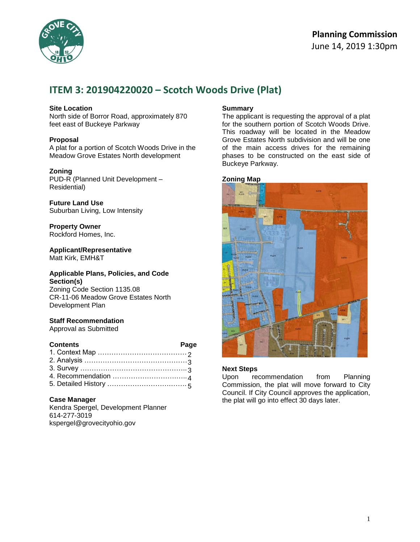

# **ITEM 3: 201904220020 – Scotch Woods Drive (Plat)**

### **Site Location**

North side of Borror Road, approximately 870 feet east of Buckeye Parkway

### **Proposal**

A plat for a portion of Scotch Woods Drive in the Meadow Grove Estates North development

### **Zoning**

PUD-R (Planned Unit Development – Residential)

**Future Land Use** Suburban Living, Low Intensity

**Property Owner** Rockford Homes, Inc.

**Applicant/Representative** Matt Kirk, EMH&T

#### **Applicable Plans, Policies, and Code Section(s)**

Zoning Code Section 1135.08 CR-11-06 Meadow Grove Estates North Development Plan

### **Staff Recommendation**

Approval as Submitted

| <b>Contents</b> | Page |
|-----------------|------|
|                 |      |
|                 |      |
|                 |      |
|                 |      |

### 4. Recommendation ……………………….….. 4 5. Detailed History ……………………….……. 5

### **Case Manager**

Kendra Spergel, Development Planner 614-277-3019 kspergel@grovecityohio.gov

#### **Summary**

The applicant is requesting the approval of a plat for the southern portion of Scotch Woods Drive. This roadway will be located in the Meadow Grove Estates North subdivision and will be one of the main access drives for the remaining phases to be constructed on the east side of Buckeye Parkway.

## **Zoning Map**



#### **Next Steps**

Upon recommendation from Planning Commission, the plat will move forward to City Council. If City Council approves the application, the plat will go into effect 30 days later.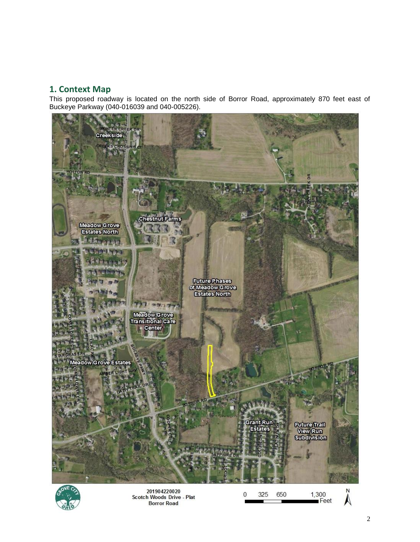### **1. Context Map**

This proposed roadway is located on the north side of Borror Road, approximately 870 feet east of Buckeye Parkway (040-016039 and 040-005226).





201904220020 Scotch Woods Drive - Plat<br>Borror Road

 $\lambda$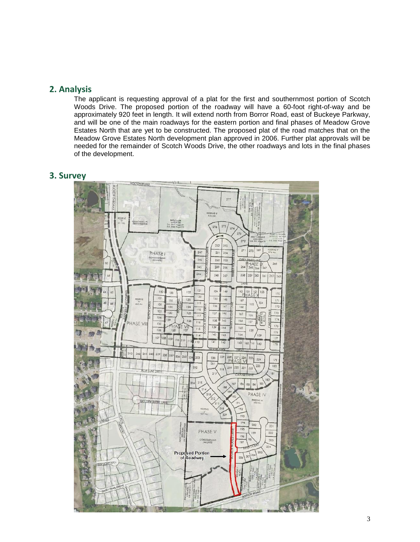### **2. Analysis**

The applicant is requesting approval of a plat for the first and southernmost portion of Scotch Woods Drive. The proposed portion of the roadway will have a 60-foot right-of-way and be approximately 920 feet in length. It will extend north from Borror Road, east of Buckeye Parkway, and will be one of the main roadways for the eastern portion and final phases of Meadow Grove Estates North that are yet to be constructed. The proposed plat of the road matches that on the Meadow Grove Estates North development plan approved in 2006. Further plat approvals will be needed for the remainder of Scotch Woods Drive, the other roadways and lots in the final phases of the development.

### **3. Survey**

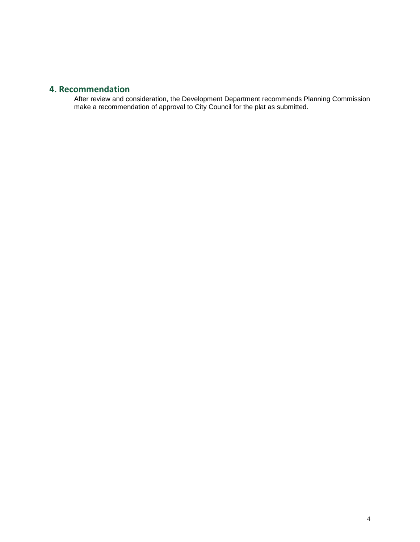### **4. Recommendation**

After review and consideration, the Development Department recommends Planning Commission make a recommendation of approval to City Council for the plat as submitted.